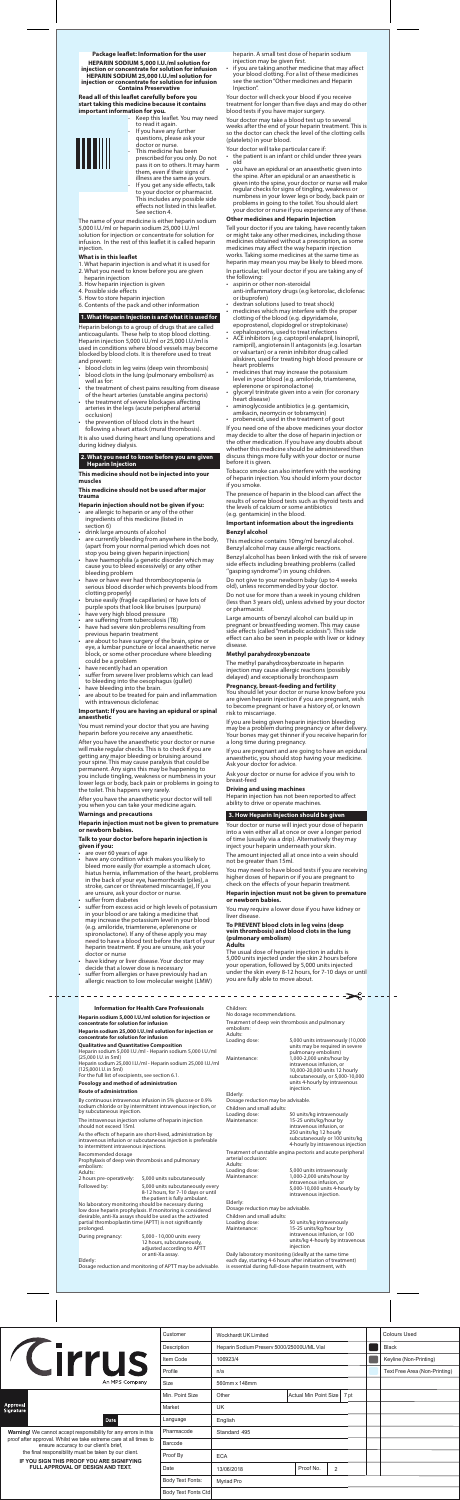## **Package leaflet: Information for the user**

**HEPARIN SODIUM 5,000 I.U./ml solution for injection or concentrate for solution for infusion HEPARIN SODIUM 25,000 I.U./ml solution for injection or concentrate for solution for infusion Contains Preservative**

**Read all of this leaflet carefully before you start taking this medicine because it contains important information for you.**

Keep this leaflet. You may need to read it again. If you have any further



questions, please ask your doctor or nurse. This medicine has been prescribed for you only. Do not pass it on to others. It may harm them, even if their signs of illness are the same as yours. If you get any side effects, talk to your doctor or pharmacist. This includes any possible side effects not listed in this leaflet. See section 4.

Heparin belongs to a group of drugs that are called anticoagulants. These help to stop blood clotting. Heparin injection 5,000 I.U./ml or 25,000 I.U./ml is used in conditions where blood vessels may become blocked by blood clots. It is therefore used to treat and prevent:

The name of your medicine is either heparin sodium 5,000 I.U./ml or heparin sodium 25,000 I.U./ml solution for injection or concentrate for solution for infusion. In the rest of this leaflet it is called heparin injection.

## **What is in this leaflet**

- 1. What heparin injection is and what it is used for 2. What you need to know before you are given
- heparin injection
- 3. How heparin injection is given
- 4. Possible side effects
- 5. How to store heparin injection 6. Contents of the pack and other information

# **1. What Heparin Injection is and what it is used for**

- blood clots in leg veins (deep vein thrombosis) • blood clots in the lung (pulmonary embolism) as well as for:
- the treatment of chest pains resulting from disease of the heart arteries (unstable angina pectoris)
- the treatment of severe blockages affecting arteries in the legs (acute peripheral arterial occlusion)
- the prevention of blood clots in the heart following a heart attack (mural thrombosis).

er you have the anaesthetic your doctor or nurse will make regular checks. This is to check if you are getting any major bleeding or bruising around your spine. This may cause paralysis that could be permanent. Any signs this may be happening to you include tingling, weakness or numbness in your lower legs or body, back pain or problems in going to the toilet. This happens very rarely.

It is also used during heart and lung operations and during kidney dialysis.

**2. What you need to know before you are given Heparin Injection**

**This medicine should not be injected into your muscles**

### **This medicine should not be used after major trauma**

#### **Heparin injection should not be given if you:**

suffer from allergies or have previously had an allergic reaction to low molecular weight (LMW) if you are taking another medicine that may affect your blood clotting. For a list of these medicines see the section ''Other medicines and Heparin Injection''.

- are allergic to heparin or any of the other ingredients of this medicine (listed in section 6)
- drink large amounts of alcohol
- are currently bleeding from anywhere in the body, (apart from your normal period which does not stop you being given heparin injection)
- have haemophilia (a genetic disorder which may cause you to bleed excessively) or any other bleeding problem
- have or have ever had thrombocytopenia (a serious blood disorder which prevents blood from clotting properly)
- bruise easily (fragile capillaries) or have lots of purple spots that look like bruises (purpura)
- have very high blood pressure
- are suffering from tuberculosis (TB)
- have had severe skin problems resulting from previous heparin treatment
- are about to have surgery of the brain, spine or eye, a lumbar puncture or local anaesthetic nerve block, or some other procedure where bleeding could be a problem
- have recently had an operation
- suffer from severe liver problems which can lead to bleeding into the oesophagus (gullet)
- have bleeding into the brain. are about to be treated for pain and inflammation
- with intravenous diclofenac
- the patient is an infant or child under three years old
- you have an epidural or an anaesthetic given into the spine. After an epidural or an anaesthetic is given into the spine, your doctor or nurse will make regular checks for signs of tingling, weakness or numbness in your lower legs or body, back pain or problems in going to the toilet. You should alert your doctor or nurse if you experience any of these.

## **Important: If you are having an epidural or spinal anaesthetic**

You must remind your doctor that you are having heparin before you receive any anaesthetic.

- aspirin or other non-steroidal
- anti-inflammatory drugs (e.g ketorolac, diclofenac or ibuprofen)
- dextran solutions (used to treat shock)
- medicines which may interfere with the proper clotting of the blood (e.g. dipyridamole, epoprostenol, clopidogrel or streptokinase)
- cephalosporins, used to treat infections
- ACE inhibitors (e.g. captopril enalapril, lisinopril, ramipril), angiotensin II antagonists (e.g. losartan or valsartan) or a renin inhibitor drug called aliskiren, used for treating high blood pressure or heart problems
- medicines that may increase the potassium level in your blood (e.g. amiloride, triamterene, eplerenone or spironolactone)
- glyceryl trinitrate given into a vein (for coronary heart disease)
- aminoglycoside antibiotics (e.g. gentamicin, amikacin, neomycin or tobramycin)
- probenecid, used in the treatment of gout

After you have the anaesthetic your doctor will tell you when you can take your medicine again.

### **Warnings and precautions**

## **Heparin injection must not be given to premature or newborn babies.**

#### **Talk to your doctor before heparin injection is given if you:**

- are over 60 years of age
- have any condition which makes you likely to bleed more easily (for example a stomach ulcer, hiatus hernia, inflammation of the heart, problems in the back of your eye, haemorrhoids (piles), a stroke, cancer or threatened miscarriage), If you are unsure, ask your doctor or nurse.
- suffer from diabetes
- suffer from excess acid or high levels of potassium in your blood or are taking a medicine that may increase the potassium level in your blood (e.g. amiloride, triamterene, eplerenone or spironolactone). If any of these apply you may need to have a blood test before the start of your heparin treatment. If you are unsure, ask your doctor or nurse
- have kidney or liver disease. Your doctor may decide that a lower dose is necessary

--------

If you are being given heparin injection bleeding may be a problem during pregnancy or after delivery. Your bones may get thinner if you receive heparin for long time during pregnancy

heparin. A small test dose of heparin sodium injection may be given first.

Your doctor will check your blood if you receive treatment for longer than five days and may do other blood tests if you have major surgery.

By continuous intravenous infusion in 5% glucose or 0.9% sodium chloride or by intermittent intravenous injection, or by subcutaneous injection.

Your doctor may take a blood test up to several weeks after the end of your heparin treatment. This is so the doctor can check the level of the clotting cells (platelets) in your blood.

Your doctor will take particular care if:

## **Other medicines and Heparin Injection**

Tell your doctor if you are taking, have recently taken or might take any other medicines, including those medicines obtained without a prescription, as some medicines may affect the way heparin injection works. Taking some medicines at the same time as heparin may mean you may be likely to bleed more. In particular, tell your doctor if you are taking any of the following:

Loading dose: 5,000 units intravenously<br>
Maintenance: 1,000-2,000 units/hour by 1,000-2,000 units/hour by intravenous infusion, or 5,000-10,000 units 4-hourly by intravenous injection.

units/kg intravenously ts/kg 4-hourly by intravenous injection

If you need one of the above medicines your doctor may decide to alter the dose of heparin injection or the other medication. If you have any doubts about whether this medicine should be administered then discuss things more fully with your doctor or nurse before it is given.

Tobacco smoke can also interfere with the working of heparin injection. You should inform your doctor if you smoke.

The presence of heparin in the blood can affect the results of some blood tests such as thyroid tests and the levels of calcium or some antibiotics (e.g. gentamicin) in the blood.

## **Important information about the ingredients Benzyl alcohol**

This medicine contains 10mg/ml benzyl alcohol. Benzyl alcohol may cause allergic reactions.

Benzyl alcohol has been linked with the risk of severe side effects including breathing problems (called ''gasping syndrome'') in young children.

Do not give to your newborn baby (up to 4 weeks old), unless recommended by your doctor.

Do not use for more than a week in young children (less than 3 years old), unless advised by your doctor or pharmacist.

Large amounts of benzyl alcohol can build up in pregnant or breastfeeding women. This may cause side effects (called ''metabolic acidosis''). This side effect can also be seen in people with liver or kidney disease.

## **Methyl parahydroxybenzoate**

The methyl parahydroxybenzoate in heparin injection may cause allergic reactions (possibly delayed) and exceptionally bronchospasm

## **Pregnancy, breast-feeding and fertility**

You should let your doctor or nurse know before you are given heparin injection if you are pregnant, wish to become pregnant or have a history of, or known risk to miscarriage.

If you are pregnant and are going to have an epidural anaesthetic, you should stop having your medicine. Ask your doctor for advice.

Ask your doctor or nurse for advice if you wish to breast-feed

#### **Driving and using machines**

Heparin injection has not been reported to affect ability to drive or operate machines.

## **3. How Heparin Injection should be given**

Your doctor or nurse will inject your dose of heparin into a vein either all at once or over a longer period of time (usually via a drip). Alternatively they may inject your heparin underneath your skin.

#### The amount injected all at once into a vein should not be greater than 15ml.

You may need to have blood tests if you are receiving higher doses of heparin or if you are pregnant to check on the effects of your heparin treatment.

#### **Heparin injection must not be given to premature or newborn babies.**

You may require a lower dose if you have kidney or liver disease.

#### **To PREVENT blood clots in leg veins (deep vein thrombosis) and blood clots in the lung (pulmonary embolism) Adults**

The usual dose of heparin injection in adults is 5,000 units injected under the skin 2 hours before your operation, followed by 5,000 units injected under the skin every 8-12 hours, for 7-10 days or until you are fully able to move about.

**Information for Health Care Professionals**

**Heparin sodium 5,000 I.U./ml solution for injection or concentrate for solution for infusion**

**Heparin sodium 25,000 I.U./ml solution for injection or concentrate for solution for infusion**

**Qualitative and Quantitative Composition** Heparin sodium 5,000 I.U./ml - Heparin sodium 5,000 I.U./ml (25,000 I.U. in 5ml) Heparin sodium 25,000 I.U./ml - Heparin sodium 25,000 I.U./ml

(125,000 I.U. in 5ml) For the full list of excipients, see section 6.1.

**Posology and method of administration**

## **Route of administration**

The intravenous injection volume of heparin injection should not exceed 15ml.

As the effects of heparin are short-lived, administration by intravenous infusion or subcutaneous injection is preferable to intermittent intravenous injections.

## Recommended dosage

Prophylaxis of deep vein thrombosis and pulmonary embolism:

Adults:<br>2 hours pre-operatively: 5,000 units subcutaneously

Followed by: 5,000 units subcutaneously every 8-12 hours, for 7-10 days or until

the patient is fully ambulant. No laboratory monitoring should be necessary during low dose heparin prophylaxis. If monitoring is considered desirable, anti-Xa assays should be used as the activated partial thromboplastin time (APTT) is not significantly prolonged.

During pregnancy: 5,000 - 10,000 units every

12 hours, subcutaneously, adjusted according to APTT or anti-Xa assay.

Elderly:

Dosage reduction and monitoring of APTT may be advisable.



No dosage recommendations.

Treatment of deep vein thrombosis and pulmonary embolism:

-----------------

Adults:<br>Loading dose:

Loading dose: 5,000 units intravenously (10,000 units may be required in severe pulmonary embolism) Maintenance: 1,000-2,000 units/hour by intravenous infusion, or 10,000-20,000 units 12 hourly subcutaneously, or 5,000-10,000 units 4-hourly by intravenous injection.

€−

Elderly:

Dosage reduction may be advisable.

Children and small adults: Loading dose: 50 units/kg intravenously Maintenance: 15-25 units/kg/hour by

intravenous infusion, or 250 units/kg 12 hourly subcutaneously or 100 units/kg 4-hourly by intravenous injection

Treatment of unstable angina pectoris and acute peripheral arterial occlusion: Adults:

Elderly: Dosage reduction may be advisable.

| Children and small adults: |                              |
|----------------------------|------------------------------|
| Loading dose:              | 50 units/kg intravenously    |
| Maintenance:               | 15-25 units/ka/hour by       |
|                            | intravenous infusion, or 100 |
|                            | units/kg 4-hourly by intrave |

Daily laboratory monitoring (ideally at the same time each day, starting 4-6 hours after initiation of treatment) is essential during full-dose heparin treatment, with